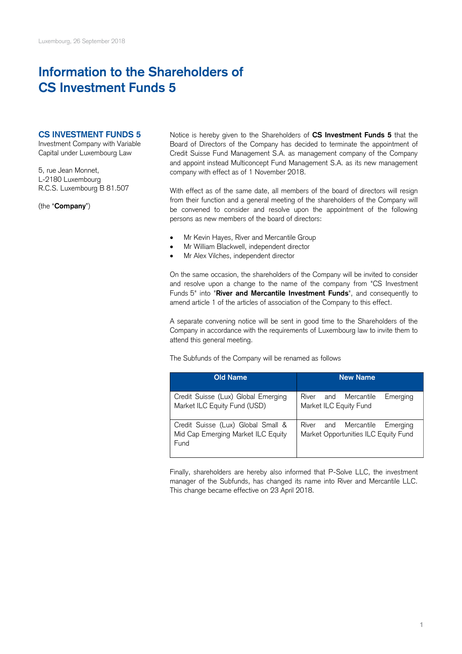## **Information to the Shareholders of CS Investment Funds 5**

## **CS INVESTMENT FUNDS 5**

Investment Company with Variable Capital under Luxembourg Law

5, rue Jean Monnet, L-2180 Luxembourg R.C.S. Luxembourg B 81.507

(the "**Company**")

Notice is hereby given to the Shareholders of **CS Investment Funds 5** that the Board of Directors of the Company has decided to terminate the appointment of Credit Suisse Fund Management S.A. as management company of the Company and appoint instead Multiconcept Fund Management S.A. as its new management company with effect as of 1 November 2018.

With effect as of the same date, all members of the board of directors will resign from their function and a general meeting of the shareholders of the Company will be convened to consider and resolve upon the appointment of the following persons as new members of the board of directors:

- Mr Kevin Hayes, River and Mercantile Group
- Mr William Blackwell, independent director
- Mr Alex Vilches, independent director

On the same occasion, the shareholders of the Company will be invited to consider and resolve upon a change to the name of the company from "CS Investment Funds 5" into "**River and Mercantile Investment Funds**", and consequently to amend article 1 of the articles of association of the Company to this effect.

A separate convening notice will be sent in good time to the Shareholders of the Company in accordance with the requirements of Luxembourg law to invite them to attend this general meeting.

The Subfunds of the Company will be renamed as follows

| <b>Old Name</b>                                                                  | <b>New Name</b>                                                          |
|----------------------------------------------------------------------------------|--------------------------------------------------------------------------|
| Credit Suisse (Lux) Global Emerging<br>Market ILC Equity Fund (USD)              | Mercantile<br>River<br>Emerging<br>and<br>Market ILC Equity Fund         |
| Credit Suisse (Lux) Global Small &<br>Mid Cap Emerging Market ILC Equity<br>Fund | River and Mercantile<br>Emerging<br>Market Opportunities ILC Equity Fund |

Finally, shareholders are hereby also informed that P-Solve LLC, the investment manager of the Subfunds, has changed its name into River and Mercantile LLC. This change became effective on 23 April 2018.